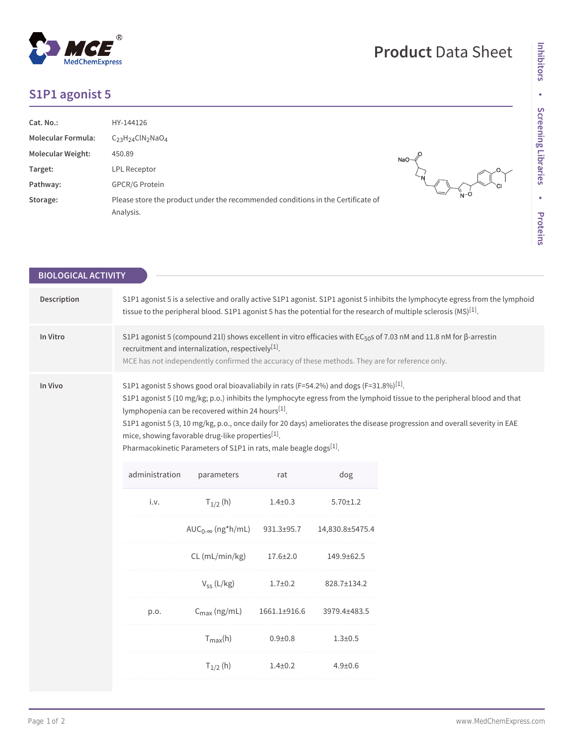## **Product** Data Sheet



## **S1P1 agonist 5**

| Cat. No.:                 | HY-144126                                                                                    |                   |
|---------------------------|----------------------------------------------------------------------------------------------|-------------------|
| <b>Molecular Formula:</b> | $C_{23}H_{24}CIN_2NaO_4$                                                                     |                   |
| Molecular Weight:         | 450.89                                                                                       | $NaO \rightarrow$ |
| Target:                   | LPL Receptor                                                                                 |                   |
| Pathway:                  | <b>GPCR/G Protein</b>                                                                        |                   |
| Storage:                  | Please store the product under the recommended conditions in the Certificate of<br>Analysis. | $N - 0$           |

| <b>BIOLOGICAL ACTIVITY</b> |                                                                                                                                                                                                                                                                                                      |                                                                                                                                                                                                                                                                                             |               |                 |                                                                                                                                                                                                                                                        |  |
|----------------------------|------------------------------------------------------------------------------------------------------------------------------------------------------------------------------------------------------------------------------------------------------------------------------------------------------|---------------------------------------------------------------------------------------------------------------------------------------------------------------------------------------------------------------------------------------------------------------------------------------------|---------------|-----------------|--------------------------------------------------------------------------------------------------------------------------------------------------------------------------------------------------------------------------------------------------------|--|
| Description                | S1P1 agonist 5 is a selective and orally active S1P1 agonist. S1P1 agonist 5 inhibits the lymphocyte egress from the lymphoid<br>tissue to the peripheral blood. S1P1 agonist 5 has the potential for the research of multiple sclerosis $(MS)^{[1]}$ .                                              |                                                                                                                                                                                                                                                                                             |               |                 |                                                                                                                                                                                                                                                        |  |
| In Vitro                   | S1P1 agonist 5 (compound 21l) shows excellent in vitro efficacies with EC <sub>50</sub> s of 7.03 nM and 11.8 nM for β-arrestin<br>recruitment and internalization, respectively <sup>[1]</sup> .<br>MCE has not independently confirmed the accuracy of these methods. They are for reference only. |                                                                                                                                                                                                                                                                                             |               |                 |                                                                                                                                                                                                                                                        |  |
| In Vivo                    |                                                                                                                                                                                                                                                                                                      | S1P1 agonist 5 shows good oral bioavaliabily in rats (F=54.2%) and dogs (F=31.8%) <sup>[1]</sup> .<br>lymphopenia can be recovered within 24 hours[1].<br>mice, showing favorable drug-like properties <sup>[1]</sup> .<br>Pharmacokinetic Parameters of S1P1 in rats, male beagle dogs[1]. |               |                 | S1P1 agonist 5 (10 mg/kg; p.o.) inhibits the lymphocyte egress from the lymphoid tissue to the peripheral blood and that<br>S1P1 agonist 5 (3, 10 mg/kg, p.o., once daily for 20 days) ameliorates the disease progression and overall severity in EAE |  |
|                            | administration                                                                                                                                                                                                                                                                                       | parameters                                                                                                                                                                                                                                                                                  | rat           | dog             |                                                                                                                                                                                                                                                        |  |
|                            | i.v.                                                                                                                                                                                                                                                                                                 | $T_{1/2}$ (h)                                                                                                                                                                                                                                                                               | $1.4 \pm 0.3$ | $5.70 \pm 1.2$  |                                                                                                                                                                                                                                                        |  |
|                            |                                                                                                                                                                                                                                                                                                      | $AUC_{0-\infty}$ (ng*h/mL)                                                                                                                                                                                                                                                                  | 931.3±95.7    | 14,830.8±5475.4 |                                                                                                                                                                                                                                                        |  |
|                            |                                                                                                                                                                                                                                                                                                      | CL (mL/min/kg)                                                                                                                                                                                                                                                                              | 17.6±2.0      | 149.9±62.5      |                                                                                                                                                                                                                                                        |  |
|                            |                                                                                                                                                                                                                                                                                                      | $V_{SS}$ (L/kg)                                                                                                                                                                                                                                                                             | $1.7 + 0.2$   | 828.7±134.2     |                                                                                                                                                                                                                                                        |  |
|                            | p.o.                                                                                                                                                                                                                                                                                                 | $C_{\text{max}}$ (ng/mL)                                                                                                                                                                                                                                                                    | 1661.1±916.6  | 3979.4±483.5    |                                                                                                                                                                                                                                                        |  |
|                            |                                                                                                                                                                                                                                                                                                      | $T_{max}(h)$                                                                                                                                                                                                                                                                                | $0.9 + 0.8$   | $1.3 + 0.5$     |                                                                                                                                                                                                                                                        |  |
|                            |                                                                                                                                                                                                                                                                                                      | $T_{1/2}$ (h)                                                                                                                                                                                                                                                                               | $1.4 + 0.2$   | $4.9 + 0.6$     |                                                                                                                                                                                                                                                        |  |
|                            |                                                                                                                                                                                                                                                                                                      |                                                                                                                                                                                                                                                                                             |               |                 |                                                                                                                                                                                                                                                        |  |